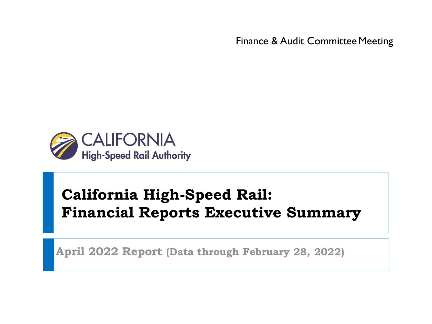Finance & Audit Committee Meeting



# **California High-Speed Rail: Financial Reports Executive Summary**

**April 2022 Report (Data through February 28, 2022)**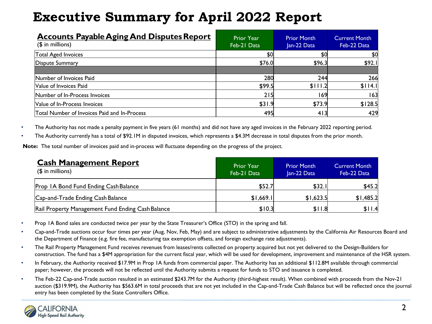| <b>Accounts Payable Aging And Disputes Report</b><br>$($$ in millions) | <b>Prior Year</b><br>Feb-21 Data | <b>Prior Month</b><br>Jan-22 Data | <b>Current Month</b><br>Feb-22 Data |
|------------------------------------------------------------------------|----------------------------------|-----------------------------------|-------------------------------------|
| Total Aged Invoices                                                    | \$0                              | \$0                               | \$0                                 |
| Dispute Summary                                                        | \$76.0                           | \$96.3                            | \$92.1                              |
| Number of Invoices Paid<br>Value of Invoices Paid                      | 280<br>\$99.5                    | 244<br>\$111.2                    | 266<br>\$114.1                      |
| Number of In-Process Invoices                                          | 215                              | 169                               | 63                                  |
| Value of In-Process Invoices                                           | \$31.9                           | \$73.9                            | \$128.5                             |
| Total Number of Invoices Paid and In-Process                           | 495                              | 413                               | 429                                 |

• The Authority has not made a penalty payment in five years (61 months) and did not have any aged invoices in the February 2022 reporting period.

• The Authority currently has a total of \$92.1M in disputed invoices, which represents a \$4.3M decrease in total disputes from the prior month.

**Note:** The total number of invoices paid and in-process will fluctuate depending on the progress of the project.

| <b>Cash Management Report</b><br>$($$ in millions) | <b>Prior Year</b><br>Feb-21 Data | <b>Prior Month</b><br>Jan-22 Data | <b>Current Month</b><br>Feb-22 Data |
|----------------------------------------------------|----------------------------------|-----------------------------------|-------------------------------------|
| Prop IA Bond Fund Ending Cash Balance              | \$52.7                           | \$32.1                            | \$45.2                              |
| Cap-and-Trade Ending Cash Balance                  | \$1,669.1                        | \$1,623.5                         | \$1,485.2                           |
| Rail Property Management Fund Ending Cash Balance  | \$10.3                           | \$11.8                            | \$11.4                              |

- Prop 1A Bond sales are conducted twice per year by the State Treasurer's Office (STO) in the spring and fall.
- Cap-and-Trade auctions occur four times per year (Aug, Nov, Feb, May) and are subject to administrative adjustments by the California Air Resources Board and the Department of Finance (e.g. fire fee, manufacturing tax exemption offsets, and foreign exchange rate adjustments).
- The Rail Property Management Fund receives revenues from leases/rents collected on property acquired but not yet delivered to the Design-Builders for construction. The fund has a \$4M appropriation for the current fiscal year, which will be used for development, improvement and maintenance of the HSR system.
- In February, the Authority received \$17.9M in Prop 1A funds from commercial paper. The Authority has an additional \$112.8M available through commercial paper; however, the proceeds will not be reflected until the Authority submits a request for funds to STO and issuance is completed.
- The Feb-22 Cap-and-Trade auction resulted in an estimated \$243.7M for the Authority (third-highest result). When combined with proceeds from the Nov-21 auction (\$319.9M), the Authority has \$563.6M in total proceeds that are not yet included in the Cap-and-Trade Cash Balance but will be reflected once the journal entry has been completed by the State Controllers Office.

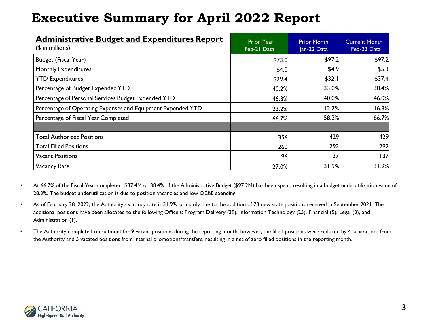| <b>Administrative Budget and Expenditures Report</b><br>$($$ in millions) | <b>Prior Year</b><br>Feb-21 Data | <b>Prior Month</b><br>Jan-22 Data | <b>Current Month</b><br>Feb-22 Data |
|---------------------------------------------------------------------------|----------------------------------|-----------------------------------|-------------------------------------|
| Budget (Fiscal Year)                                                      | \$73.0                           | \$97.2                            | \$97.2                              |
| <b>Monthly Expenditures</b>                                               | \$4.0                            | \$4.9                             | \$5.3                               |
| <b>YTD Expenditures</b>                                                   | \$29.4                           | \$32.1                            | \$37.4                              |
| Percentage of Budget Expended YTD                                         | 40.2%                            | 33.0%                             | 38.4%                               |
| Percentage of Personal Services Budget Expended YTD                       | 46.3%                            | 40.0%                             | 46.0%                               |
| Percentage of Operating Expenses and Equipment Expended YTD               | 23.2%                            | 12.7%                             | 16.8%                               |
| Percentage of Fiscal Year Completed                                       | 66.7%                            | 58.3%                             | 66.7%                               |
| <b>Total Authorized Positions</b>                                         | 356                              | 429                               | 429                                 |
| <b>Total Filled Positions</b>                                             | 260                              | 292                               | 292                                 |
| <b>Vacant Positions</b>                                                   | 96                               | 137                               | 137                                 |
| Vacancy Rate                                                              | 27.0%                            | 31.9%                             | 31.9%                               |

- At 66.7% of the Fiscal Year completed, \$37.4M or 38.4% of the Administrative Budget (\$97.2M) has been spent, resulting in a budget underutilization value of 28.3%. The budget underutilization is due to position vacancies and low OE&E spending.
- As of February 28, 2022, the Authority's vacancy rate is 31.9%, primarily due to the addition of 73 new state positions received in September 2021. The additional positions have been allocated to the following Office's: Program Delivery (39), Information Technology (25), Financial (5), Legal (3), and Administration (1).
- The Authority completed recruitment for 9 vacant positions during the reporting month; however, the filled positions were reduced by 4 separations from the Authority and 5 vacated positions from internal promotions/transfers, resulting in a net of zero filled positions in the reporting month.

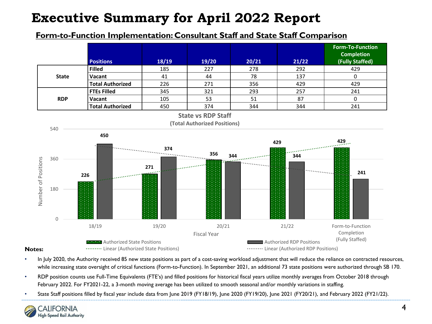### **Form-to-Function Implementation: Consultant Staff and State Staff Comparison**



- **Notes:**
- In July 2020, the Authority received 85 new state positions as part of a cost-saving workload adjustment that will reduce the reliance on contracted resources, while increasing state oversight of critical functions (Form-to-Function). In September 2021, an additional 73 state positions were authorized through SB 170.
- RDP position counts use Full-Time Equivalents (FTE's) and filled positions for historical fiscal years utilize monthly averages from October 2018 through February 2022. For FY2021-22, a 3-month moving average has been utilized to smooth seasonal and/or monthly variations in staffing.
- State Staff positions filled by fiscal year include data from June 2019 (FY18/19), June 2020 (FY19/20), June 2021 (FY20/21), and February 2022 (FY21/22).

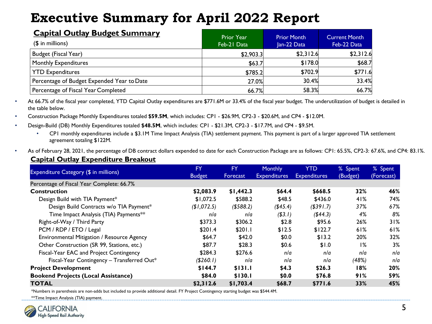| <b>Capital Outlay Budget Summary</b><br>$($$ in millions) | <b>Prior Year</b><br>Feb-21 Data | <b>Prior Month</b><br>Jan-22 Data | <b>Current Month</b><br>Feb-22 Data |
|-----------------------------------------------------------|----------------------------------|-----------------------------------|-------------------------------------|
| Budget (Fiscal Year)                                      | \$2,903.3                        | \$2,312.6                         | \$2,312.6                           |
| <b>Monthly Expenditures</b>                               | \$63.7                           | \$178.0                           | \$68.7                              |
| <b>YTD Expenditures</b>                                   | \$785.2                          | \$702.9                           | \$771.6                             |
| Percentage of Budget Expended Year to Date                | 27.0%                            | 30.4%                             | 33.4%                               |
| Percentage of Fiscal Year Completed                       | 66.7%                            | 58.3%                             | 66.7%                               |

• At 66.7% of the fiscal year completed, YTD Capital Outlay expenditures are \$771.6M or 33.4% of the fiscal year budget. The underutilization of budget is detailed in the table below.

• Construction Package Monthly Expenditures totaled **\$59.5M**, which includes: CP1 - \$26.9M, CP2-3 - \$20.6M, and CP4 - \$12.0M.

- Design-Build (DB) Monthly Expenditures totaled **\$48.5M**, which includes: CP1 \$21.3M, CP2-3 \$17.7M, and CP4 \$9.5M.
	- CP1 monthly expenditures include a \$3.1M Time Impact Analysis (TIA) settlement payment. This payment is part of a larger approved TIA settlement agreement totaling \$122M.
- As of February 28, 2021, the percentage of DB contract dollars expended to date for each Construction Package are as follows: CP1: 65.5%, CP2-3: 67.6%, and CP4: 83.1%.

#### **Capital Outlay Expenditure Breakout**

|                                            | FY            | <b>FY</b>    | <b>Monthly</b>      | YTD                 | % Spent  | % Spent    |
|--------------------------------------------|---------------|--------------|---------------------|---------------------|----------|------------|
| Expenditure Category (\$ in millions)      | <b>Budget</b> | Forecast     | <b>Expenditures</b> | <b>Expenditures</b> | (Budget) | (Forecast) |
| Percentage of Fiscal Year Complete: 66.7%  |               |              |                     |                     |          |            |
| <b>Construction</b>                        | \$2,083.9     | \$1,442.3    | \$64.4              | \$668.5             | 32%      | 46%        |
| Design Build with TIA Payment*             | \$1,072.5     | \$588.2      | \$48.5              | \$436.0             | 41%      | 74%        |
| Design Build Contracts w/o TIA Payment*    | (\$1,072.5)   | $($ \$588.2) | (\$45.4)            | ( \$391.7)          | 37%      | 67%        |
| Time Impact Analysis (TIA) Payments**      | n/a           | n/a          | ( \$3.1)            | ( \$44.3)           | 4%       | 8%         |
| Right-of-Way / Third Party                 | \$373.3       | \$306.2      | \$2.8               | \$95.6              | 26%      | 31%        |
| PCM / RDP / ETO / Legal                    | \$201.4       | \$201.1      | \$12.5              | \$122.7             | 61%      | 61%        |
| Environmental Mitigation / Resource Agency | \$64.7        | \$42.0       | \$0.0               | \$13.2              | 20%      | 32%        |
| Other Construction (SR 99, Stations, etc.) | \$87.7        | \$28.3       | \$0.6               | \$1.0               | 1%       | 3%         |
| Fiscal-Year EAC and Project Contingency    | \$284.3       | \$276.6      | n/a                 | nla                 | n/a      | n/a        |
| Fiscal-Year Contingency - Transferred Out* | (\$260.1)     | n/a          | n/a                 | nla                 | (48%)    | n/a        |
| <b>Project Development</b>                 | \$144.7       | \$131.1      | \$4.3               | \$26.3              | 18%      | 20%        |
| <b>Bookend Projects (Local Assistance)</b> | \$84.0        | \$130.I      | \$0.0               | \$76.8              | 91%      | 59%        |
| <b>TOTAL</b>                               | \$2,312.6     | \$1,703.4    | \$68.7              | \$771.6             | 33%      | 45%        |

\*Numbers in parenthesis are non-adds but included to provide additional detail. FY Project Contingency starting budget was \$544.4M.

\*\*Time Impact Analysis (TIA) payment.

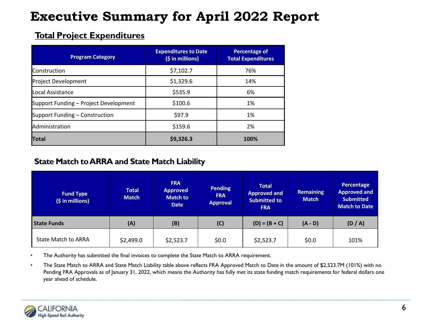### **Total Project Expenditures**

| <b>Program Category</b>               | <b>Expenditures to Date</b><br>(\$ in millions) | Percentage of<br><b>Total Expenditures</b> |
|---------------------------------------|-------------------------------------------------|--------------------------------------------|
| <b>Construction</b>                   | \$7,102.7                                       | 76%                                        |
| Project Development                   | \$1,329.6                                       | 14%                                        |
| lLocal Assistance                     | \$535.9                                         | 6%                                         |
| Support Funding - Project Development | \$100.6                                         | 1%                                         |
| Support Funding – Construction        | \$97.9                                          | 1%                                         |
| Administration                        | \$159.6                                         | 2%                                         |
| <b>Total</b>                          | \$9,326.3                                       | 100%                                       |

### **State Match to ARRA and State Match Liability**

| <b>Fund Type</b><br>(\$ in millions) | <b>Total</b><br><b>Match</b> | <b>FRA</b><br><b>Approved</b><br><b>Match to</b><br><b>Date</b> | <b>Pending</b><br><b>FRA</b><br><b>Approval</b> | <b>Total</b><br><b>Approved and</b><br><b>Submitted to</b><br><b>FRA</b> | <b>Remaining</b><br><b>Match</b> | Percentage<br><b>Approved and</b><br><b>Submitted</b><br><b>Match to Date</b> |
|--------------------------------------|------------------------------|-----------------------------------------------------------------|-------------------------------------------------|--------------------------------------------------------------------------|----------------------------------|-------------------------------------------------------------------------------|
| <b>State Funds</b>                   | (A)                          | (B)                                                             | (C)                                             | $(D) = (B + C)$                                                          | $(A - D)$                        | (D / A)                                                                       |
| <b>State Match to ARRA</b>           | \$2,499.0                    | \$2,523.7                                                       | 50.0                                            | \$2,523.7                                                                | \$0.0                            | 101%                                                                          |

• The Authority has submitted the final invoices to complete the State Match to ARRA requirement.

• The State Match to ARRA and State Match Liability table above reflects FRA Approved Match to Date in the amount of \$2,523.7M (101%) with no Pending FRA Approvals as of January 31, 2022, which means the Authority has fully met its state funding match requirements for federal dollars one year ahead of schedule.

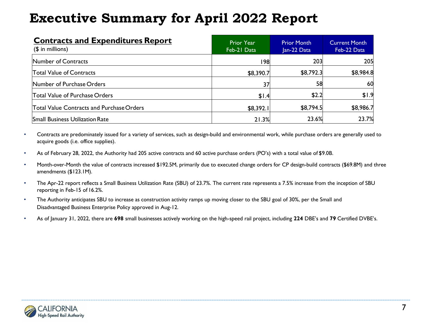| <b>Contracts and Expenditures Report</b><br>$($$ in millions) | <b>Prior Year</b><br>Feb-21 Data | <b>Prior Month</b><br>Jan-22 Data | <b>Current Month</b><br>Feb-22 Data |
|---------------------------------------------------------------|----------------------------------|-----------------------------------|-------------------------------------|
| Number of Contracts                                           | 198                              | 203                               | 205                                 |
| <b>Total Value of Contracts</b>                               | \$8,390.7                        | \$8,792.3                         | \$8,984.8                           |
| Number of Purchase Orders                                     | 37                               | 58                                | 60                                  |
| Total Value of Purchase Orders                                | \$1.4                            | \$2.2                             | \$1.9                               |
| Total Value Contracts and Purchase Orders                     | \$8,392.1                        | \$8,794.5                         | \$8,986.7                           |
| <b>Small Business Utilization Rate</b>                        | 21.3%                            | 23.6%                             | 23.7%                               |

- Contracts are predominately issued for a variety of services, such as design-build and environmental work, while purchase orders are generally used to acquire goods (i.e. office supplies).
- As of February 28, 2022, the Authority had 205 active contracts and 60 active purchase orders (PO's) with a total value of \$9.0B.
- Month-over-Month the value of contracts increased \$192.5M, primarily due to executed change orders for CP design-build contracts (\$69.8M) and three amendments (\$123.1M).
- The Apr-22 report reflects a Small Business Utilization Rate (SBU) of 23.7%. The current rate represents a 7.5% increase from the inception of SBU reporting in Feb-15 of 16.2%.
- The Authority anticipates SBU to increase as construction activity ramps up moving closer to the SBU goal of 30%, per the Small and Disadvantaged Business Enterprise Policy approved in Aug-12.
- As of January 31, 2022, there are **698** small businesses actively working on the high-speed rail project, including **224** DBE's and **79** Certified DVBE's.